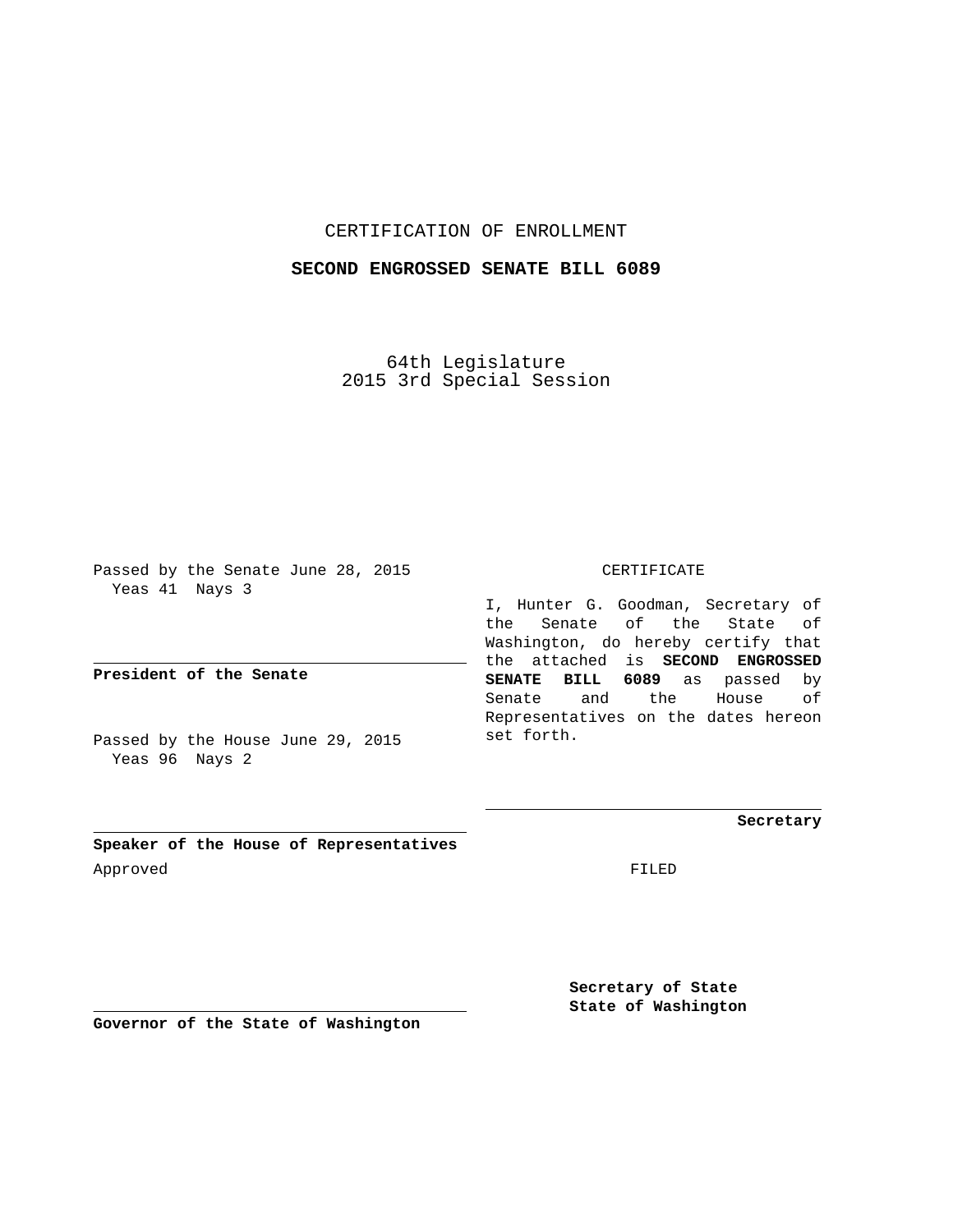## CERTIFICATION OF ENROLLMENT

## **SECOND ENGROSSED SENATE BILL 6089**

64th Legislature 2015 3rd Special Session

Passed by the Senate June 28, 2015 Yeas 41 Nays 3

**President of the Senate**

Passed by the House June 29, 2015 Yeas 96 Nays 2

CERTIFICATE

I, Hunter G. Goodman, Secretary of the Senate of the State of Washington, do hereby certify that the attached is **SECOND ENGROSSED SENATE BILL 6089** as passed by Senate and the House of Representatives on the dates hereon set forth.

**Secretary**

**Speaker of the House of Representatives** Approved FILED

**Secretary of State State of Washington**

**Governor of the State of Washington**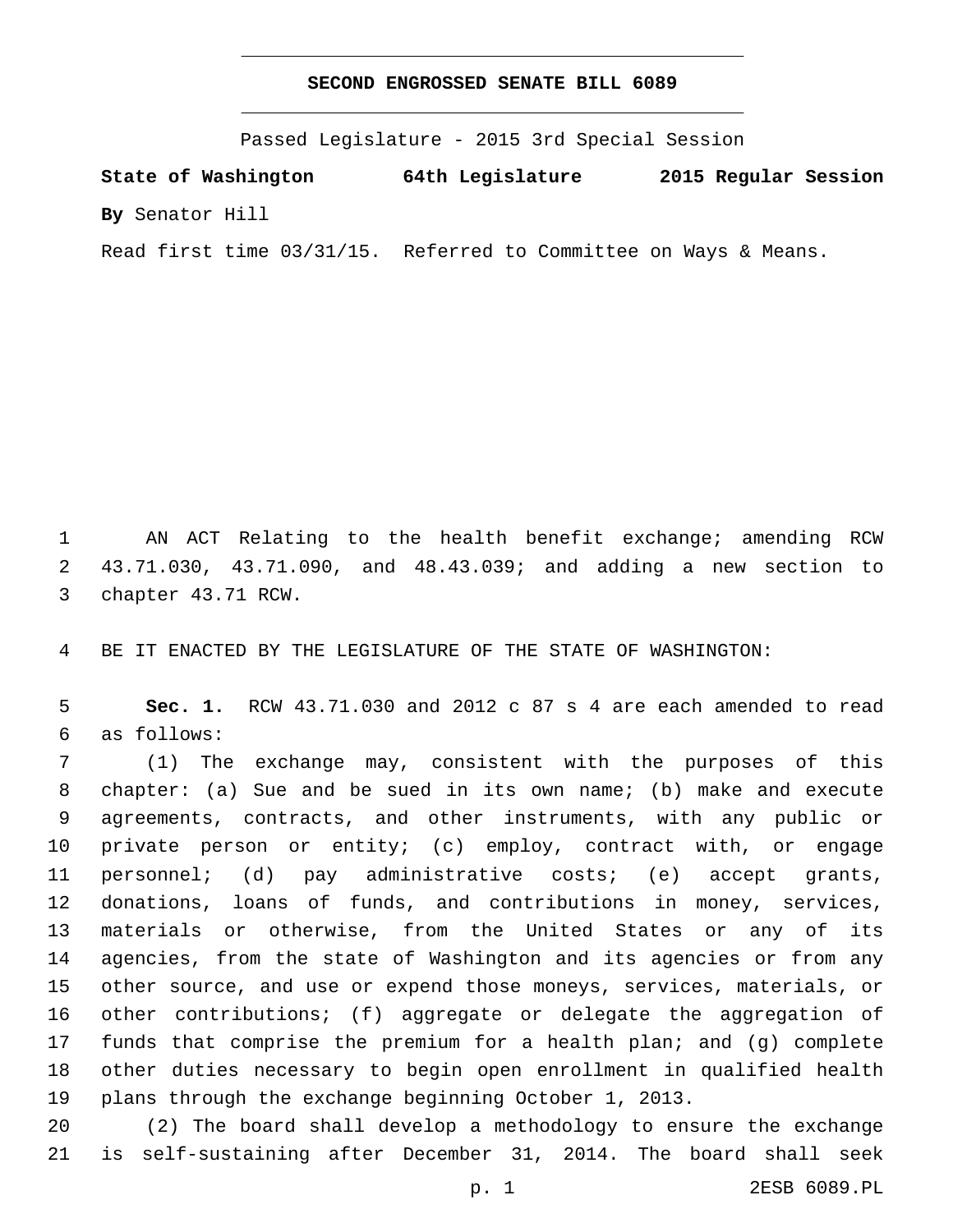## **SECOND ENGROSSED SENATE BILL 6089**

Passed Legislature - 2015 3rd Special Session

**State of Washington 64th Legislature 2015 Regular Session By** Senator Hill

Read first time 03/31/15. Referred to Committee on Ways & Means.

 AN ACT Relating to the health benefit exchange; amending RCW 43.71.030, 43.71.090, and 48.43.039; and adding a new section to 3 chapter 43.71 RCW.

BE IT ENACTED BY THE LEGISLATURE OF THE STATE OF WASHINGTON:

 **Sec. 1.** RCW 43.71.030 and 2012 c 87 s 4 are each amended to read as follows:6

 (1) The exchange may, consistent with the purposes of this chapter: (a) Sue and be sued in its own name; (b) make and execute agreements, contracts, and other instruments, with any public or private person or entity; (c) employ, contract with, or engage personnel; (d) pay administrative costs; (e) accept grants, donations, loans of funds, and contributions in money, services, materials or otherwise, from the United States or any of its agencies, from the state of Washington and its agencies or from any other source, and use or expend those moneys, services, materials, or other contributions; (f) aggregate or delegate the aggregation of funds that comprise the premium for a health plan; and (g) complete other duties necessary to begin open enrollment in qualified health plans through the exchange beginning October 1, 2013.

 (2) The board shall develop a methodology to ensure the exchange is self-sustaining after December 31, 2014. The board shall seek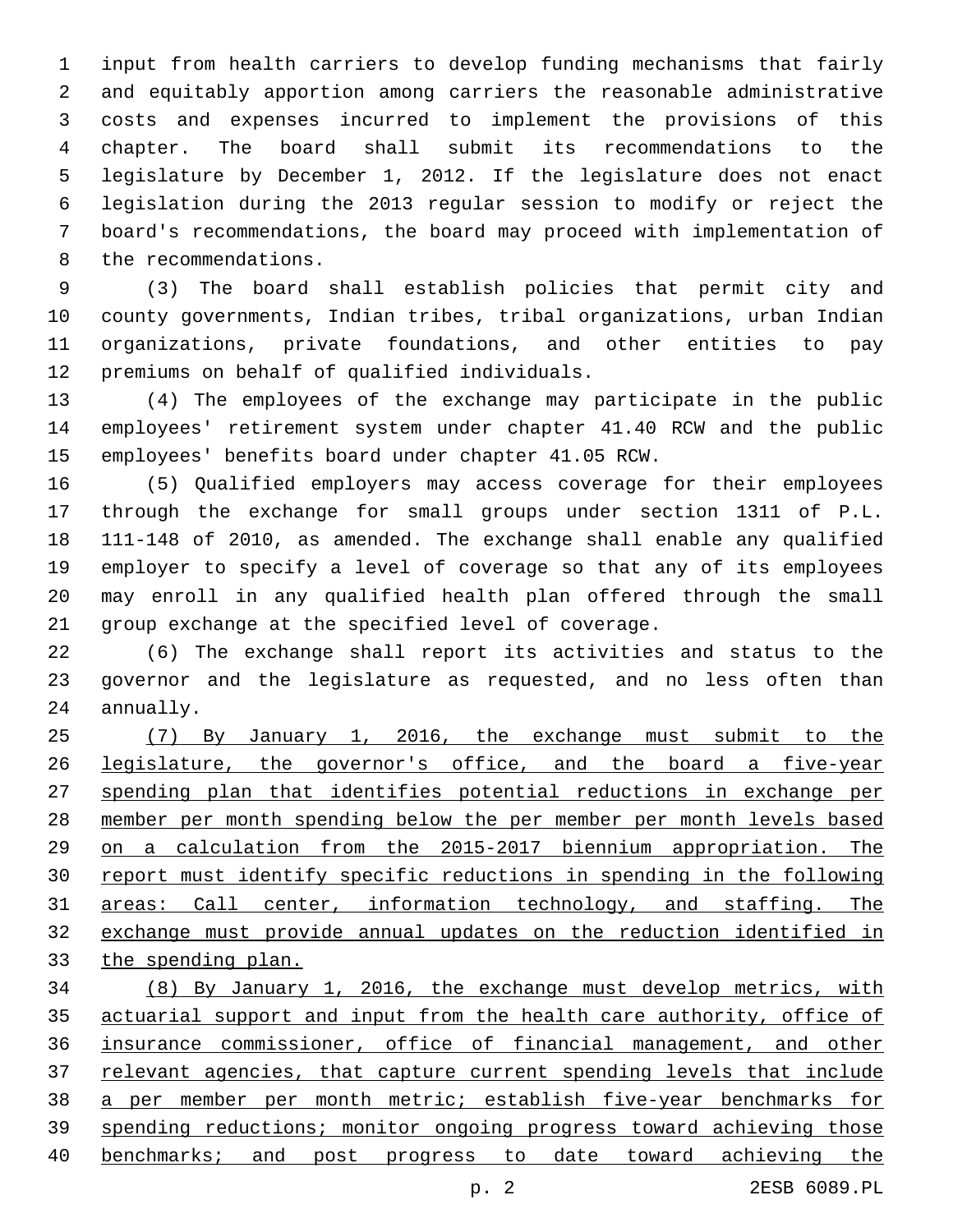input from health carriers to develop funding mechanisms that fairly and equitably apportion among carriers the reasonable administrative costs and expenses incurred to implement the provisions of this chapter. The board shall submit its recommendations to the legislature by December 1, 2012. If the legislature does not enact legislation during the 2013 regular session to modify or reject the board's recommendations, the board may proceed with implementation of 8 the recommendations.

 (3) The board shall establish policies that permit city and county governments, Indian tribes, tribal organizations, urban Indian organizations, private foundations, and other entities to pay 12 premiums on behalf of qualified individuals.

 (4) The employees of the exchange may participate in the public employees' retirement system under chapter 41.40 RCW and the public employees' benefits board under chapter 41.05 RCW.

 (5) Qualified employers may access coverage for their employees through the exchange for small groups under section 1311 of P.L. 111-148 of 2010, as amended. The exchange shall enable any qualified employer to specify a level of coverage so that any of its employees may enroll in any qualified health plan offered through the small group exchange at the specified level of coverage.

 (6) The exchange shall report its activities and status to the governor and the legislature as requested, and no less often than 24 annually.

 (7) By January 1, 2016, the exchange must submit to the legislature, the governor's office, and the board a five-year spending plan that identifies potential reductions in exchange per member per month spending below the per member per month levels based on a calculation from the 2015-2017 biennium appropriation. The report must identify specific reductions in spending in the following areas: Call center, information technology, and staffing. The exchange must provide annual updates on the reduction identified in the spending plan.

 (8) By January 1, 2016, the exchange must develop metrics, with actuarial support and input from the health care authority, office of insurance commissioner, office of financial management, and other 37 relevant agencies, that capture current spending levels that include a per member per month metric; establish five-year benchmarks for spending reductions; monitor ongoing progress toward achieving those benchmarks; and post progress to date toward achieving the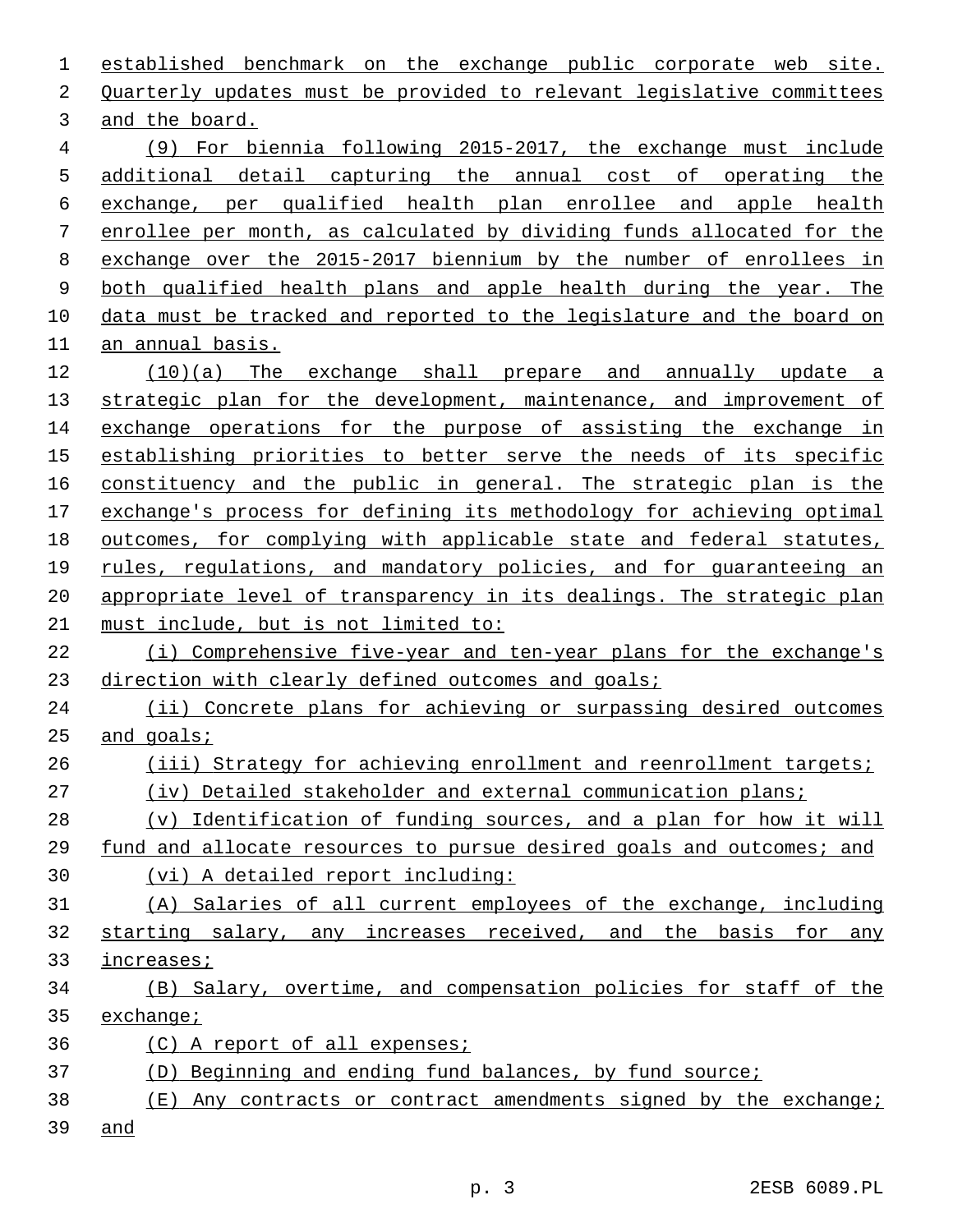| 1  | established benchmark on the exchange public corporate web site.      |
|----|-----------------------------------------------------------------------|
| 2  | Quarterly updates must be provided to relevant legislative committees |
| 3  | and the board.                                                        |
| 4  | (9) For biennia following 2015-2017, the exchange must include        |
| 5  | additional detail capturing the annual cost of operating the          |
| 6  | exchange, per qualified health plan enrollee and apple health         |
| 7  | enrollee per month, as calculated by dividing funds allocated for the |
| 8  | exchange over the 2015-2017 biennium by the number of enrollees in    |
| 9  | both qualified health plans and apple health during the year. The     |
| 10 | data must be tracked and reported to the legislature and the board on |
| 11 | an annual basis.                                                      |
| 12 | $(10)(a)$ The exchange shall prepare and annually update a            |
| 13 | strategic plan for the development, maintenance, and improvement of   |
| 14 | exchange operations for the purpose of assisting the exchange in      |
| 15 | establishing priorities to better serve the needs of its specific     |
| 16 | constituency and the public in general. The strategic plan is the     |
| 17 | exchange's process for defining its methodology for achieving optimal |
| 18 | outcomes, for complying with applicable state and federal statutes,   |
| 19 | rules, regulations, and mandatory policies, and for guaranteeing an   |
| 20 | appropriate level of transparency in its dealings. The strategic plan |
| 21 | must include, but is not limited to:                                  |
| 22 | (i) Comprehensive five-year and ten-year plans for the exchange's     |
| 23 | direction with clearly defined outcomes and goals;                    |
| 24 | (ii) Concrete plans for achieving or surpassing desired outcomes      |
| 25 | and $qoals$                                                           |
| 26 | (iii) Strategy for achieving enrollment and reenrollment targets;     |
| 27 | (iv) Detailed stakeholder and external communication plans;           |
| 28 | (v) Identification of funding sources, and a plan for how it will     |
| 29 | fund and allocate resources to pursue desired goals and outcomes; and |
| 30 | (vi) A detailed report including:                                     |
| 31 | (A) Salaries of all current employees of the exchange, including      |
| 32 | starting salary, any increases received, and the basis for any        |
| 33 | increases;                                                            |
| 34 | (B) Salary, overtime, and compensation policies for staff of the      |
| 35 | $\alpha$ change;                                                      |
| 36 | (C) A report of all expenses;                                         |
| 37 | (D) Beginning and ending fund balances, by fund source;               |
| 38 | (E) Any contracts or contract amendments signed by the exchange;      |
| 39 | and                                                                   |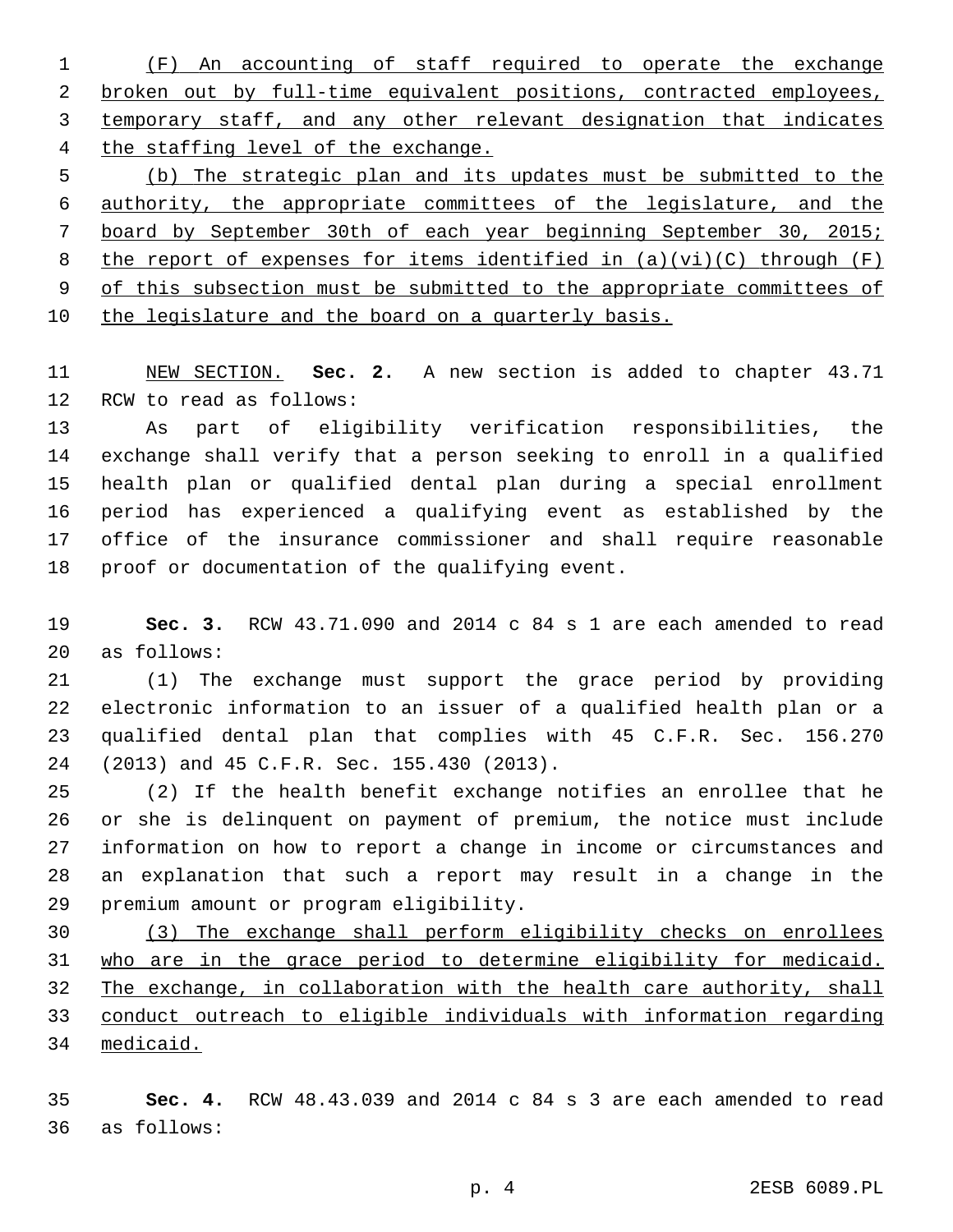(F) An accounting of staff required to operate the exchange broken out by full-time equivalent positions, contracted employees, temporary staff, and any other relevant designation that indicates the staffing level of the exchange.

 (b) The strategic plan and its updates must be submitted to the authority, the appropriate committees of the legislature, and the board by September 30th of each year beginning September 30, 2015; 8 the report of expenses for items identified in  $(a)(vi)(C)$  through  $(F)$  of this subsection must be submitted to the appropriate committees of 10 the legislature and the board on a quarterly basis.

 NEW SECTION. **Sec. 2.** A new section is added to chapter 43.71 12 RCW to read as follows:

 As part of eligibility verification responsibilities, the exchange shall verify that a person seeking to enroll in a qualified health plan or qualified dental plan during a special enrollment period has experienced a qualifying event as established by the office of the insurance commissioner and shall require reasonable 18 proof or documentation of the qualifying event.

 **Sec. 3.** RCW 43.71.090 and 2014 c 84 s 1 are each amended to read 20 as follows:

 (1) The exchange must support the grace period by providing electronic information to an issuer of a qualified health plan or a qualified dental plan that complies with 45 C.F.R. Sec. 156.270 24 (2013) and 45 C.F.R. Sec. 155.430 (2013).

 (2) If the health benefit exchange notifies an enrollee that he or she is delinquent on payment of premium, the notice must include information on how to report a change in income or circumstances and an explanation that such a report may result in a change in the 29 premium amount or program eligibility.

 (3) The exchange shall perform eligibility checks on enrollees who are in the grace period to determine eligibility for medicaid. The exchange, in collaboration with the health care authority, shall conduct outreach to eligible individuals with information regarding medicaid.

 **Sec. 4.** RCW 48.43.039 and 2014 c 84 s 3 are each amended to read as follows:36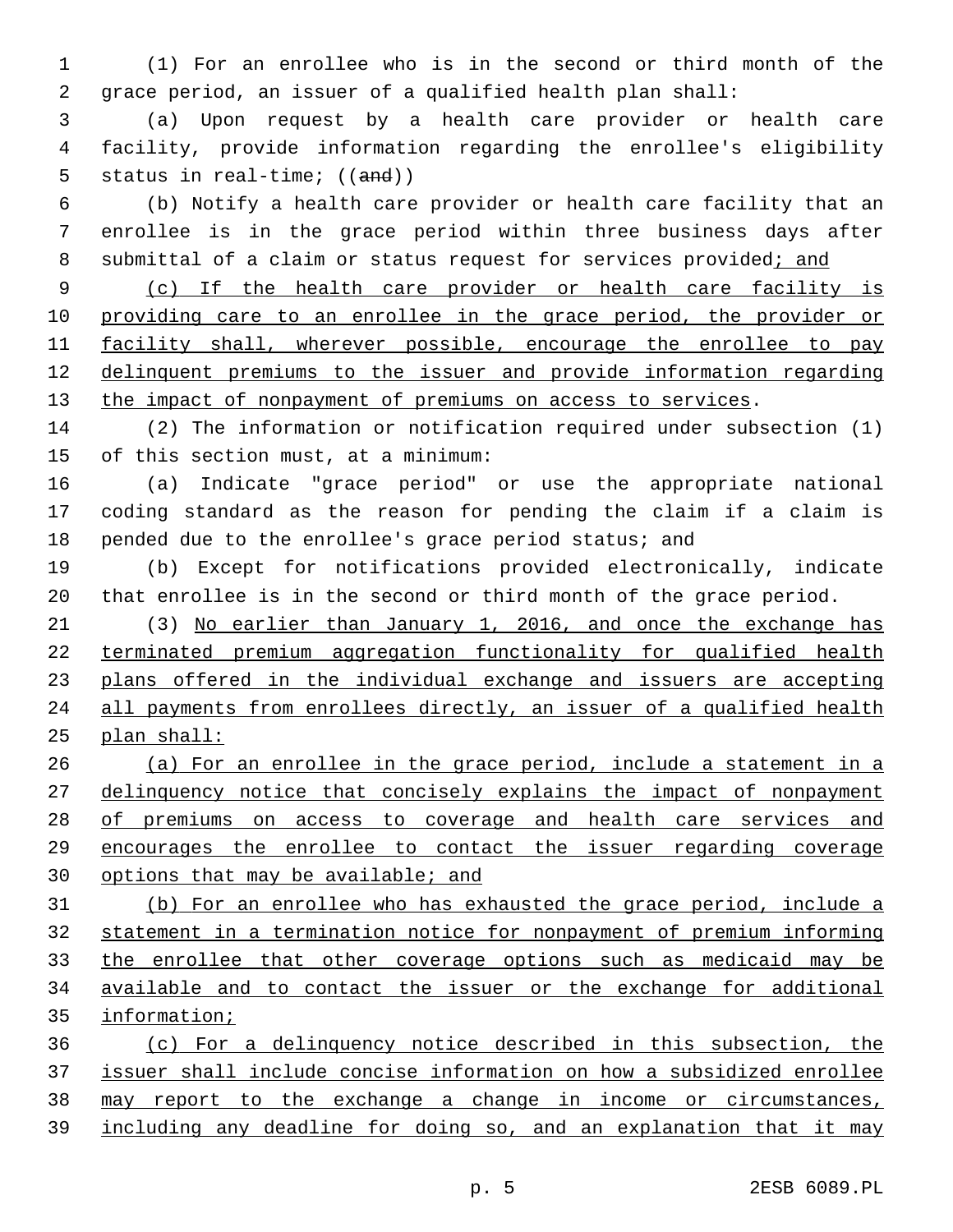(1) For an enrollee who is in the second or third month of the grace period, an issuer of a qualified health plan shall:

 (a) Upon request by a health care provider or health care facility, provide information regarding the enrollee's eligibility 5 status in real-time; ((and))

 (b) Notify a health care provider or health care facility that an enrollee is in the grace period within three business days after 8 submittal of a claim or status request for services provided; and

 (c) If the health care provider or health care facility is providing care to an enrollee in the grace period, the provider or 11 facility shall, wherever possible, encourage the enrollee to pay delinquent premiums to the issuer and provide information regarding 13 the impact of nonpayment of premiums on access to services.

 (2) The information or notification required under subsection (1) 15 of this section must, at a minimum:

 (a) Indicate "grace period" or use the appropriate national coding standard as the reason for pending the claim if a claim is pended due to the enrollee's grace period status; and

 (b) Except for notifications provided electronically, indicate that enrollee is in the second or third month of the grace period.

 (3) No earlier than January 1, 2016, and once the exchange has terminated premium aggregation functionality for qualified health plans offered in the individual exchange and issuers are accepting all payments from enrollees directly, an issuer of a qualified health plan shall:

 (a) For an enrollee in the grace period, include a statement in a delinquency notice that concisely explains the impact of nonpayment 28 of premiums on access to coverage and health care services and encourages the enrollee to contact the issuer regarding coverage options that may be available; and

 (b) For an enrollee who has exhausted the grace period, include a statement in a termination notice for nonpayment of premium informing the enrollee that other coverage options such as medicaid may be available and to contact the issuer or the exchange for additional information;

 (c) For a delinquency notice described in this subsection, the issuer shall include concise information on how a subsidized enrollee may report to the exchange a change in income or circumstances, including any deadline for doing so, and an explanation that it may